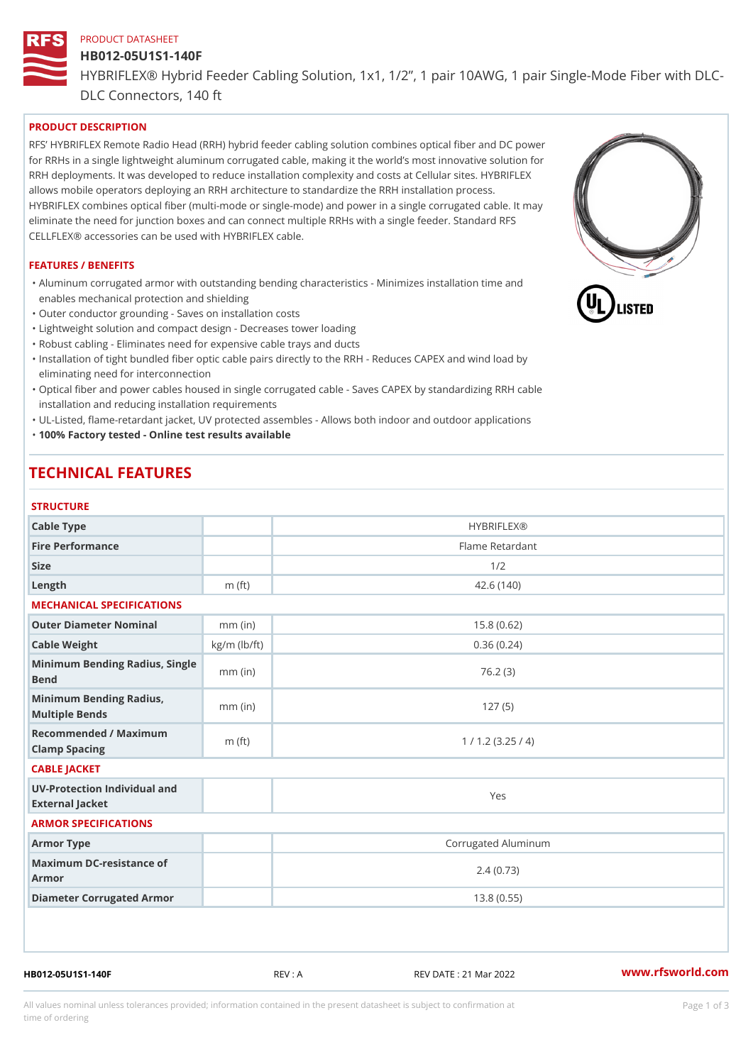# PRODUCT DATASHEET HB012-05U1S1-140F HYBRIFLEX® Hybrid Feeder Cabling Solution, 1x1, 1/2, 1 pair 10AWG, DLC Connectors, 140 ft

## PRODUCT DESCRIPTION

RFS HYBRIFLEX Remote Radio Head (RRH) hybrid feeder cabling solution combines optical fiber and for RRHs in a single lightweight aluminum corrugated cable, making it the world s most innovative s RRH deployments. It was developed to reduce installation complexity and costs at Cellular sites. HY allows mobile operators deploying an RRH architecture to standardize the RRH installation process. HYBRIFLEX combines optical fiber (multi-mode or single-mode) and power in a single corrugated cal eliminate the need for junction boxes and can connect multiple RRHs with a single feeder. Standard CELLFLEX® accessories can be used with HYBRIFLEX cable.

#### FEATURES / BENEFITS

"Aluminum corrugated armor with outstanding bending characteristics - Minimizes installation time a enables mechanical protection and shielding

"Outer conductor grounding - Saves on installation costs

"Lightweight solution and compact design - Decreases tower loading

"Robust cabling - Eliminates need for expensive cable trays and ducts

"Installation of tight bundled fiber optic cable pairs directly to the RRH - Reduces CAPEX and wind eliminating need for interconnection

"Optical fiber and power cables housed in single corrugated cable – Saves CAPEX by standardiz|ng installation and reducing installation requirements

"UL-Listed, flame-retardant jacket, UV protected assembles - Allows both indoor and outdoor applic "100% Factory tested - Online test results available

## TECHNICAL FEATURES

#### STRUCTURE

| 3 1 N U U I U N L                                 |                    |                     |
|---------------------------------------------------|--------------------|---------------------|
| Cable Type                                        |                    | <b>HYBRIFLEX®</b>   |
| Fire Performance                                  |                    | Flame Retardant     |
| Size                                              |                    | 1/2                 |
| $L$ ength                                         | $m$ (ft)           | 42.6(140)           |
| MECHANICAL SPECIFICATIONS                         |                    |                     |
| Outer Diameter Nominal                            | $mm$ (in)          | 15.8(0.62)          |
| Cable Weight                                      | $kg/m$ ( $lb/ft$ ) | 0.36(0.24)          |
| Minimum Bending Radius, Single<br>Bend            |                    | 76.2(3)             |
| Minimum Bending Radius, mm (in)<br>Multiple Bends |                    | 127(5)              |
| Recommended / Maximum<br>Clamp Spacing            | $m$ (ft)           | 1 / 1.2 (3.25 / 4)  |
| CABLE JACKET                                      |                    |                     |
| UV-Protection Individual and<br>External Jacket   |                    | Yes                 |
| ARMOR SPECIFICATIONS                              |                    |                     |
| Armor Type                                        |                    | Corrugated Aluminum |
| Maximum DC-resistance of<br>Armor                 |                    | 2.4(0.73)           |
| Diameter Corrugated Armor                         |                    | 13.8(0.55)          |
|                                                   |                    |                     |

HB012-05U1S1-140F REV : A REV DATE : 21 Mar 2022 [www.](https://www.rfsworld.com)rfsworld.com

All values nominal unless tolerances provided; information contained in the present datasheet is subject to Pcapgeign mation time of ordering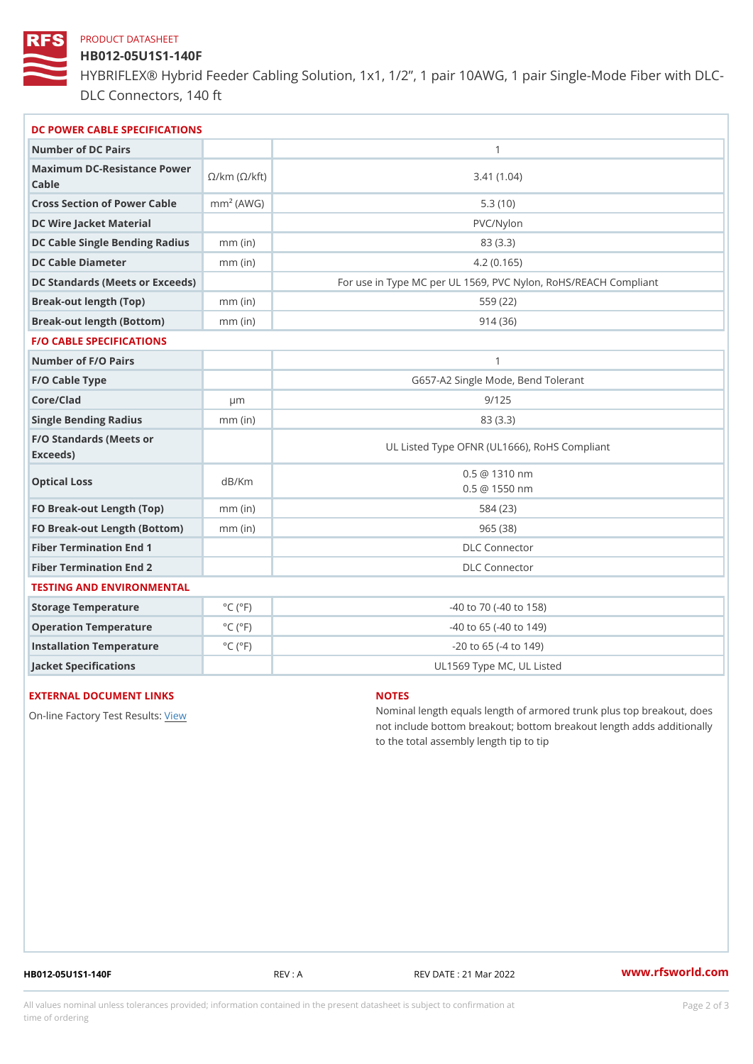#### PRODUCT DATASHEET

## HB012-05U1S1-140F

HYBRIFLEX® Hybrid Feeder Cabling Solution, 1x1, 1/2, 1 pair 10AWG, DLC Connectors, 140 ft

| DC POWER CABLE SPECIFICATIONS                                                                                                   |                             |                                                      |  |
|---------------------------------------------------------------------------------------------------------------------------------|-----------------------------|------------------------------------------------------|--|
| Number of DC Pairs                                                                                                              |                             | $\mathbf{1}$                                         |  |
| Maximum DC-Resistance $\bigotimes_{k=m}^{\infty}$ ( $\bigotimes_{k=m}^{\infty}$ /km ( $\bigotimes_{k=m}^{\infty}$ )<br>$C$ able |                             | 3.41(1.04)                                           |  |
| Cross Section of Power Cnamble (AWG)                                                                                            |                             | 5.3(10)                                              |  |
| DC Wire Jacket Material                                                                                                         |                             | $PVC/Ny$ lon                                         |  |
| DC Cable Single Bending Rhandi(uish)                                                                                            |                             | 83 (3.3)                                             |  |
| DC Cable Diameter                                                                                                               | $mm$ (in)                   | 4.2(0.165)                                           |  |
| DC Standards (Meets or Exceeds)                                                                                                 |                             | For use in Type MC per UL 1569, PVC Nylon, RoHS/REAC |  |
| Break-out length (Top)                                                                                                          | $mm$ (in)                   | 559 (22)                                             |  |
| Break-out length (Bottom) mm (in)                                                                                               |                             | 914(36)                                              |  |
| <b>F/O CABLE SPECIFICATIONS</b>                                                                                                 |                             |                                                      |  |
| Number of F/O Pairs                                                                                                             |                             | $\mathbf{1}$                                         |  |
| F/O Cable Type                                                                                                                  |                             | G657-A2 Single Mode, Bend Tolerant                   |  |
| Core/Clad                                                                                                                       | $\mu$ m                     | 9/125                                                |  |
| Single Bending Radius                                                                                                           | $mm$ (in)                   | 83 (3.3)                                             |  |
| F/O Standards (Meets or<br>Exceeds)                                                                                             |                             | UL Listed Type OFNR (UL1666), RoHS Compliant         |  |
| Optical Loss                                                                                                                    | dB/Km                       | $0.5 \t@ 1310 nm$<br>$0.5 \t@ 1550 nm$               |  |
| FO Break-out Length (Top)mm (in)                                                                                                |                             | 584 (23)                                             |  |
| FO Break-out Length (Bottomm) (in)                                                                                              |                             | 965(38)                                              |  |
| Fiber Termination End                                                                                                           |                             | DLC Connector                                        |  |
| Fiber Termination End 2                                                                                                         |                             | <b>DLC</b> Connector                                 |  |
| TESTING AND ENVIRONMENTAL                                                                                                       |                             |                                                      |  |
| Storage Temperature                                                                                                             | $^{\circ}$ C ( $^{\circ}$ F | $-40$ to $70$ ( $-40$ to $158$ )                     |  |
| Operation Temperature                                                                                                           | $^{\circ}$ C ( $^{\circ}$ F | $-40$ to $65$ ( $-40$ to $149$ )                     |  |
| Installation Temperature                                                                                                        | $^{\circ}$ C ( $^{\circ}$ F | $-20$ to 65 ( $-4$ to 149)                           |  |
| Jacket Specifications                                                                                                           |                             | UL1569 Type MC, UL Listed                            |  |

#### EXTERNAL DOCUMENT LINKS

On-line Factory Te[s](https://www.rfsworld.com/pictures/userfiles/programs/AAST Latest Version.zip)teRwesults:

#### NOTES

Nominal length equals length of armored trunk plus not include bottom breakout; bottom breakout length to the total assembly length tip to tip

HB012-05U1S1-140F REV : A REV DATE : 21 Mar 2022 [www.](https://www.rfsworld.com)rfsworld.com